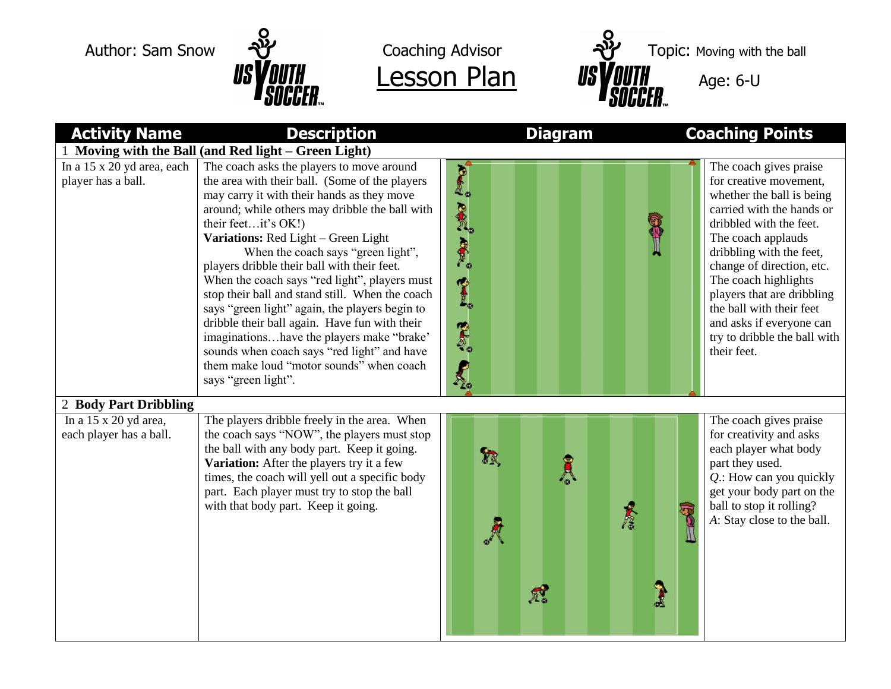



Author: Sam Snow  $\frac{1}{2}$  Coaching Advisor  $\frac{1}{2}$  Topic: Moving with the ball

| <b>Activity Name</b>                                    | <b>Description</b>                                                                                                                                                                                                                                                                                                                                                                                                                                                                                                                                                                                                                                                                                                   | <b>Diagram</b>                           | <b>Coaching Points</b>                                                                                                                                                                                                                                                                                                                                                            |  |  |  |  |  |  |
|---------------------------------------------------------|----------------------------------------------------------------------------------------------------------------------------------------------------------------------------------------------------------------------------------------------------------------------------------------------------------------------------------------------------------------------------------------------------------------------------------------------------------------------------------------------------------------------------------------------------------------------------------------------------------------------------------------------------------------------------------------------------------------------|------------------------------------------|-----------------------------------------------------------------------------------------------------------------------------------------------------------------------------------------------------------------------------------------------------------------------------------------------------------------------------------------------------------------------------------|--|--|--|--|--|--|
| Moving with the Ball (and Red light – Green Light)      |                                                                                                                                                                                                                                                                                                                                                                                                                                                                                                                                                                                                                                                                                                                      |                                          |                                                                                                                                                                                                                                                                                                                                                                                   |  |  |  |  |  |  |
| In a 15 x 20 yd area, each<br>player has a ball.        | The coach asks the players to move around<br>the area with their ball. (Some of the players<br>may carry it with their hands as they move<br>around; while others may dribble the ball with<br>their feetit's OK!)<br>Variations: Red Light - Green Light<br>When the coach says "green light",<br>players dribble their ball with their feet.<br>When the coach says "red light", players must<br>stop their ball and stand still. When the coach<br>says "green light" again, the players begin to<br>dribble their ball again. Have fun with their<br>imaginationshave the players make "brake"<br>sounds when coach says "red light" and have<br>them make loud "motor sounds" when coach<br>says "green light". | <b>Out PORT REP 241</b><br><b>PASSIC</b> | The coach gives praise<br>for creative movement,<br>whether the ball is being<br>carried with the hands or<br>dribbled with the feet.<br>The coach applauds<br>dribbling with the feet,<br>change of direction, etc.<br>The coach highlights<br>players that are dribbling<br>the ball with their feet<br>and asks if everyone can<br>try to dribble the ball with<br>their feet. |  |  |  |  |  |  |
| 2 Body Part Dribbling                                   |                                                                                                                                                                                                                                                                                                                                                                                                                                                                                                                                                                                                                                                                                                                      |                                          |                                                                                                                                                                                                                                                                                                                                                                                   |  |  |  |  |  |  |
| In a $15 \times 20$ yd area,<br>each player has a ball. | The players dribble freely in the area. When<br>the coach says "NOW", the players must stop<br>the ball with any body part. Keep it going.<br>Variation: After the players try it a few<br>times, the coach will yell out a specific body<br>part. Each player must try to stop the ball<br>with that body part. Keep it going.                                                                                                                                                                                                                                                                                                                                                                                      | R<br>A<br>A<br>A                         | The coach gives praise<br>for creativity and asks<br>each player what body<br>part they used.<br>$Q$ .: How can you quickly<br>get your body part on the<br>ball to stop it rolling?<br>A: Stay close to the ball.<br>2                                                                                                                                                           |  |  |  |  |  |  |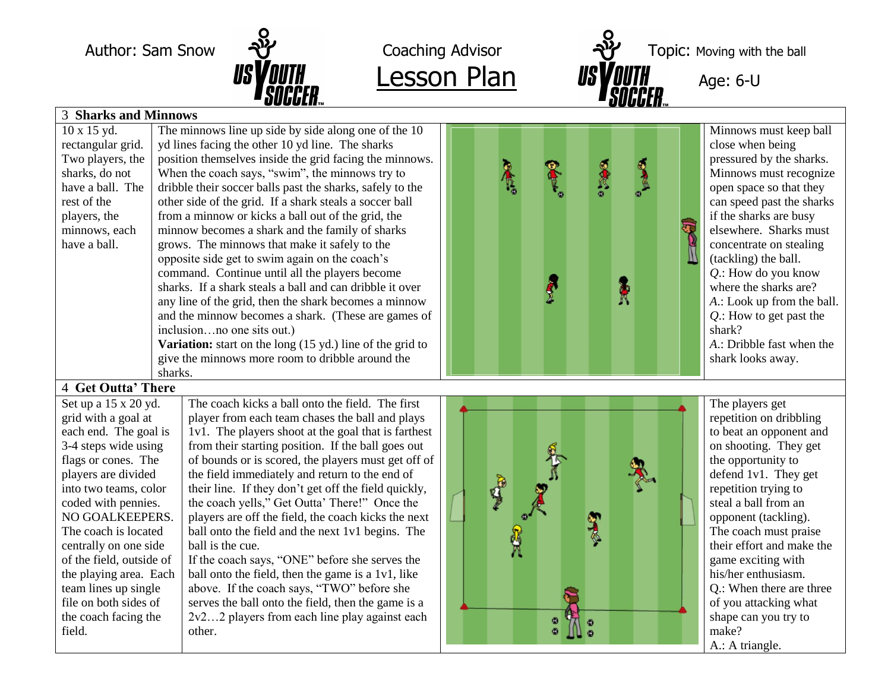



Author: Sam Snow  $\frac{1}{2}$  Coaching Advisor  $\frac{1}{2}$  Topic: Moving with the ball

| UUUULII m<br>UUUULII…                                                                                                                          |                            |  |  |  |  |  |  |
|------------------------------------------------------------------------------------------------------------------------------------------------|----------------------------|--|--|--|--|--|--|
| <b>3 Sharks and Minnows</b>                                                                                                                    |                            |  |  |  |  |  |  |
| 10 x 15 yd.<br>The minnows line up side by side along one of the 10                                                                            | Minnows must keep ball     |  |  |  |  |  |  |
| yd lines facing the other 10 yd line. The sharks<br>rectangular grid.<br>close when being                                                      |                            |  |  |  |  |  |  |
| position themselves inside the grid facing the minnows.<br>Two players, the                                                                    | pressured by the sharks.   |  |  |  |  |  |  |
| <b>PACTE</b><br>When the coach says, "swim", the minnows try to<br>sharks, do not                                                              | Minnows must recognize     |  |  |  |  |  |  |
| dribble their soccer balls past the sharks, safely to the<br>have a ball. The                                                                  | open space so that they    |  |  |  |  |  |  |
| other side of the grid. If a shark steals a soccer ball<br>rest of the                                                                         | can speed past the sharks  |  |  |  |  |  |  |
| from a minnow or kicks a ball out of the grid, the<br>players, the                                                                             | if the sharks are busy     |  |  |  |  |  |  |
| minnow becomes a shark and the family of sharks<br>minnows, each                                                                               | elsewhere. Sharks must     |  |  |  |  |  |  |
| grows. The minnows that make it safely to the<br>have a ball.                                                                                  | concentrate on stealing    |  |  |  |  |  |  |
| opposite side get to swim again on the coach's<br>(tackling) the ball.                                                                         |                            |  |  |  |  |  |  |
| command. Continue until all the players become                                                                                                 | $Q$ .: How do you know     |  |  |  |  |  |  |
| Å<br>sharks. If a shark steals a ball and can dribble it over                                                                                  | where the sharks are?      |  |  |  |  |  |  |
| any line of the grid, then the shark becomes a minnow                                                                                          | A.: Look up from the ball. |  |  |  |  |  |  |
| and the minnow becomes a shark. (These are games of                                                                                            | $Q$ .: How to get past the |  |  |  |  |  |  |
| inclusionno one sits out.)<br>shark?                                                                                                           |                            |  |  |  |  |  |  |
| Variation: start on the long $(15 \text{ yd.})$ line of the grid to                                                                            | A.: Dribble fast when the  |  |  |  |  |  |  |
| give the minnows more room to dribble around the<br>shark looks away.                                                                          |                            |  |  |  |  |  |  |
| sharks.                                                                                                                                        |                            |  |  |  |  |  |  |
| 4 Get Outta' There                                                                                                                             |                            |  |  |  |  |  |  |
| The coach kicks a ball onto the field. The first<br>Set up a 15 x 20 yd.<br>The players get                                                    |                            |  |  |  |  |  |  |
| grid with a goal at<br>player from each team chases the ball and plays                                                                         | repetition on dribbling    |  |  |  |  |  |  |
| each end. The goal is<br>1v1. The players shoot at the goal that is farthest                                                                   | to beat an opponent and    |  |  |  |  |  |  |
| from their starting position. If the ball goes out<br>3-4 steps wide using                                                                     | on shooting. They get      |  |  |  |  |  |  |
| of bounds or is scored, the players must get off of<br>flags or cones. The<br>the opportunity to                                               |                            |  |  |  |  |  |  |
| players are divided<br>the field immediately and return to the end of                                                                          | defend 1v1. They get       |  |  |  |  |  |  |
| into two teams, color<br>their line. If they don't get off the field quickly,<br>repetition trying to<br>steal a ball from an                  |                            |  |  |  |  |  |  |
| the coach yells," Get Outta' There!" Once the<br>coded with pennies.<br>players are off the field, the coach kicks the next<br>NO GOALKEEPERS. |                            |  |  |  |  |  |  |
| opponent (tackling).<br>The coach is located                                                                                                   | The coach must praise      |  |  |  |  |  |  |
| ball onto the field and the next 1v1 begins. The                                                                                               |                            |  |  |  |  |  |  |
|                                                                                                                                                |                            |  |  |  |  |  |  |
| ball is the cue.<br>centrally on one side                                                                                                      | their effort and make the  |  |  |  |  |  |  |
| If the coach says, "ONE" before she serves the<br>of the field, outside of<br>game exciting with                                               |                            |  |  |  |  |  |  |
| his/her enthusiasm.<br>the playing area. Each<br>ball onto the field, then the game is a 1v1, like                                             |                            |  |  |  |  |  |  |
| above. If the coach says, "TWO" before she<br>team lines up single                                                                             | Q.: When there are three   |  |  |  |  |  |  |
| file on both sides of<br>serves the ball onto the field, then the game is a                                                                    | of you attacking what      |  |  |  |  |  |  |
| the coach facing the<br>2v22 players from each line play against each<br>shape can you try to<br>field.<br>make?<br>other.                     |                            |  |  |  |  |  |  |